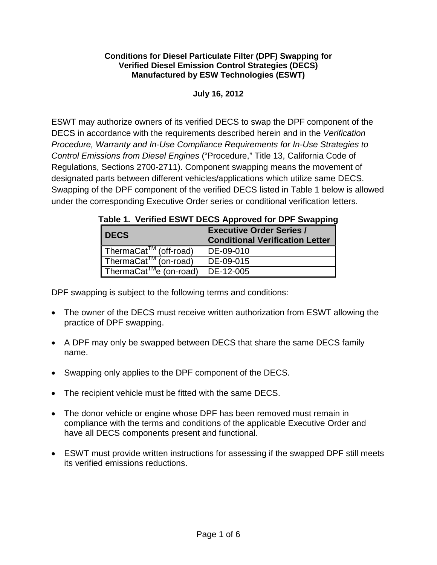## **Conditions for Diesel Particulate Filter (DPF) Swapping for Verified Diesel Emission Control Strategies (DECS) Manufactured by ESW Technologies (ESWT)**

## **July 16, 2012**

 ESWT may authorize owners of its verified DECS to swap the DPF component of the DECS in accordance with the requirements described herein and in the *Verification Procedure, Warranty and In-Use Compliance Requirements for In-Use Strategies to Control Emissions from Diesel Engines* ("Procedure," Title 13, California Code of Regulations, Sections 2700-2711). Component swapping means the movement of designated parts between different vehicles/applications which utilize same DECS. Swapping of the DPF component of the verified DECS listed in Table 1 below is allowed under the corresponding Executive Order series or conditional verification letters.

|  |  | Table 1. Verified ESWT DECS Approved for DPF Swapping |
|--|--|-------------------------------------------------------|
|  |  |                                                       |

| I DECS                                        | <b>Executive Order Series /</b><br><b>Conditional Verification Letter</b> |
|-----------------------------------------------|---------------------------------------------------------------------------|
| ThermaCat <sup>™</sup> (off-road)             | DE-09-010                                                                 |
| ThermaCat <sup>TM</sup> (on-road)             | DE-09-015                                                                 |
| ThermaCat <sup>TM</sup> e (on-road) DE-12-005 |                                                                           |

DPF swapping is subject to the following terms and conditions:

- The owner of the DECS must receive written authorization from ESWT allowing the practice of DPF swapping.
- • A DPF may only be swapped between DECS that share the same DECS family name.
- Swapping only applies to the DPF component of the DECS.
- The recipient vehicle must be fitted with the same DECS.
- compliance with the terms and conditions of the applicable Executive Order and • The donor vehicle or engine whose DPF has been removed must remain in have all DECS components present and functional.
- ESWT must provide written instructions for assessing if the swapped DPF still meets its verified emissions reductions.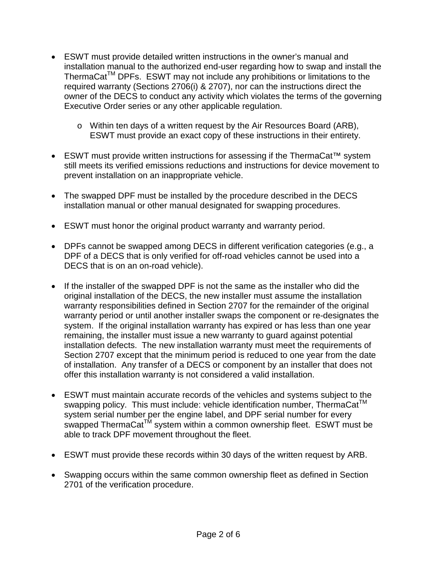- • ESWT must provide detailed written instructions in the owner's manual and required warranty (Sections 2706(i) & 2707), nor can the instructions direct the installation manual to the authorized end-user regarding how to swap and install the ThermaCat<sup>TM</sup> DPFs. ESWT may not include any prohibitions or limitations to the owner of the DECS to conduct any activity which violates the terms of the governing Executive Order series or any other applicable regulation.
	- o Within ten days of a written request by the Air Resources Board (ARB), ESWT must provide an exact copy of these instructions in their entirety.
- ESWT must provide written instructions for assessing if the ThermaCat<sup>™</sup> system still meets its verified emissions reductions and instructions for device movement to prevent installation on an inappropriate vehicle.
- installation manual or other manual designated for swapping procedures. • The swapped DPF must be installed by the procedure described in the DECS
- ESWT must honor the original product warranty and warranty period.
- DPFs cannot be swapped among DECS in different verification categories (e.g., a DPF of a DECS that is only verified for off-road vehicles cannot be used into a DECS that is on an on-road vehicle).
- • If the installer of the swapped DPF is not the same as the installer who did the system. If the original installation warranty has expired or has less than one year remaining, the installer must issue a new warranty to guard against potential installation defects. The new installation warranty must meet the requirements of of installation. Any transfer of a DECS or component by an installer that does not original installation of the DECS, the new installer must assume the installation warranty responsibilities defined in Section 2707 for the remainder of the original warranty period or until another installer swaps the component or re-designates the Section 2707 except that the minimum period is reduced to one year from the date offer this installation warranty is not considered a valid installation.
- • ESWT must maintain accurate records of the vehicles and systems subject to the swapping policy. This must include: vehicle identification number, ThermaCat<sup>™</sup> system serial number per the engine label, and DPF serial number for every swapped ThermaCat<sup>TM</sup> system within a common ownership fleet. ESWT must be able to track DPF movement throughout the fleet.
- ESWT must provide these records within 30 days of the written request by ARB.
- Swapping occurs within the same common ownership fleet as defined in Section 2701 of the verification procedure.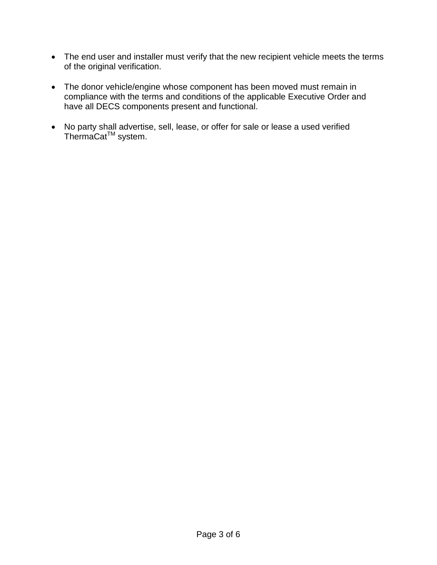- The end user and installer must verify that the new recipient vehicle meets the terms of the original verification.
- have all DECS components present and functional. • The donor vehicle/engine whose component has been moved must remain in compliance with the terms and conditions of the applicable Executive Order and
- No party shall advertise, sell, lease, or offer for sale or lease a used verified ThermaCat<sup>™</sup> system.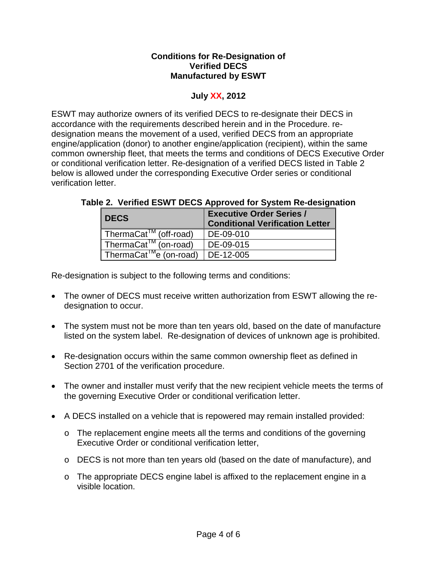## **Conditions for Re-Designation of Verified DECS Manufactured by ESWT**

## **July XX, 2012**

 designation means the movement of a used, verified DECS from an appropriate common ownership fleet, that meets the terms and conditions of DECS Executive Order ESWT may authorize owners of its verified DECS to re-designate their DECS in accordance with the requirements described herein and in the Procedure. reengine/application (donor) to another engine/application (recipient), within the same or conditional verification letter. Re-designation of a verified DECS listed in Table 2 below is allowed under the corresponding Executive Order series or conditional verification letter.

| I DECS.                                                                      | <b>Executive Order Series /</b><br><b>Conditional Verification Letter</b> |  |  |
|------------------------------------------------------------------------------|---------------------------------------------------------------------------|--|--|
| ThermaCat <sup>™</sup> (off-road)                                            | DE-09-010                                                                 |  |  |
| ThermaCat <sup>™</sup> (on-road)                                             | DE-09-015                                                                 |  |  |
| $\sqrt{\text{ThermaCat}^{\text{TM}}}$ e (on-road) $\sqrt{\text{DE}}$ -12-005 |                                                                           |  |  |

Re-designation is subject to the following terms and conditions:

- • The owner of DECS must receive written authorization from ESWT allowing the redesignation to occur.
- listed on the system label. Re-designation of devices of unknown age is prohibited. • The system must not be more than ten years old, based on the date of manufacture
- Re-designation occurs within the same common ownership fleet as defined in Section 2701 of the verification procedure.
- The owner and installer must verify that the new recipient vehicle meets the terms of the governing Executive Order or conditional verification letter.
- A DECS installed on a vehicle that is repowered may remain installed provided:
	- o The replacement engine meets all the terms and conditions of the governing Executive Order or conditional verification letter,
	- o DECS is not more than ten years old (based on the date of manufacture), and
	- o The appropriate DECS engine label is affixed to the replacement engine in a visible location.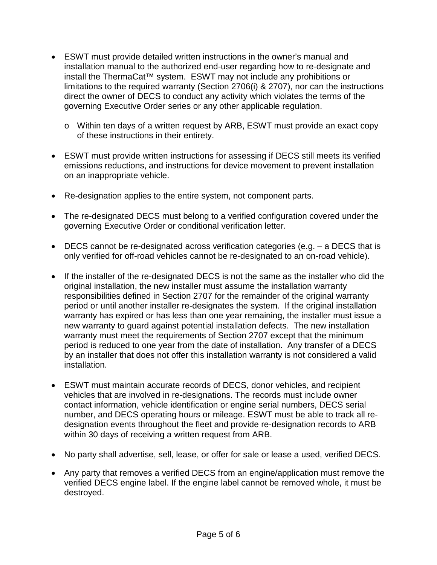- • ESWT must provide detailed written instructions in the owner's manual and install the ThermaCat™ system. ESWT may not include any prohibitions or installation manual to the authorized end-user regarding how to re-designate and limitations to the required warranty (Section 2706(i) & 2707), nor can the instructions direct the owner of DECS to conduct any activity which violates the terms of the governing Executive Order series or any other applicable regulation.
	- o Within ten days of a written request by ARB, ESWT must provide an exact copy of these instructions in their entirety.
- • ESWT must provide written instructions for assessing if DECS still meets its verified emissions reductions, and instructions for device movement to prevent installation on an inappropriate vehicle.
- Re-designation applies to the entire system, not component parts.
- • The re-designated DECS must belong to a verified configuration covered under the governing Executive Order or conditional verification letter.
- • DECS cannot be re-designated across verification categories (e.g. a DECS that is only verified for off-road vehicles cannot be re-designated to an on-road vehicle).
- period is reduced to one year from the date of installation. Any transfer of a DECS • If the installer of the re-designated DECS is not the same as the installer who did the original installation, the new installer must assume the installation warranty responsibilities defined in Section 2707 for the remainder of the original warranty period or until another installer re-designates the system. If the original installation warranty has expired or has less than one year remaining, the installer must issue a new warranty to guard against potential installation defects. The new installation warranty must meet the requirements of Section 2707 except that the minimum by an installer that does not offer this installation warranty is not considered a valid installation.
- • ESWT must maintain accurate records of DECS, donor vehicles, and recipient vehicles that are involved in re-designations. The records must include owner contact information, vehicle identification or engine serial numbers, DECS serial number, and DECS operating hours or mileage. ESWT must be able to track all redesignation events throughout the fleet and provide re-designation records to ARB within 30 days of receiving a written request from ARB.
- No party shall advertise, sell, lease, or offer for sale or lease a used, verified DECS.
- • Any party that removes a verified DECS from an engine/application must remove the verified DECS engine label. If the engine label cannot be removed whole, it must be destroyed.